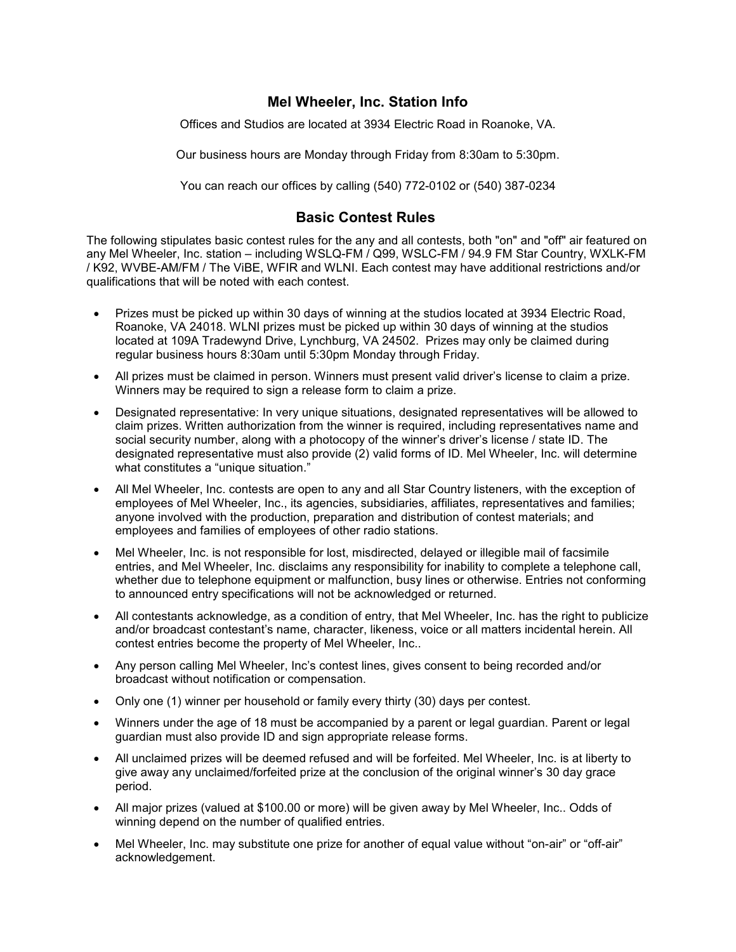## **Mel Wheeler, Inc. Station Info**

Offices and Studios are located at 3934 Electric Road in Roanoke, VA.

Our business hours are Monday through Friday from 8:30am to 5:30pm.

You can reach our offices by calling (540) 772-0102 or (540) 387-0234

## **Basic Contest Rules**

The following stipulates basic contest rules for the any and all contests, both "on" and "off" air featured on any Mel Wheeler, Inc. station – including WSLQ-FM / Q99, WSLC-FM / 94.9 FM Star Country, WXLK-FM / K92, WVBE-AM/FM / The ViBE, WFIR and WLNI. Each contest may have additional restrictions and/or qualifications that will be noted with each contest.

- · Prizes must be picked up within 30 days of winning at the studios located at 3934 Electric Road, Roanoke, VA 24018. WLNI prizes must be picked up within 30 days of winning at the studios located at 109A Tradewynd Drive, Lynchburg, VA 24502. Prizes may only be claimed during regular business hours 8:30am until 5:30pm Monday through Friday.
- · All prizes must be claimed in person. Winners must present valid driver's license to claim a prize. Winners may be required to sign a release form to claim a prize.
- · Designated representative: In very unique situations, designated representatives will be allowed to claim prizes. Written authorization from the winner is required, including representatives name and social security number, along with a photocopy of the winner's driver's license / state ID. The designated representative must also provide (2) valid forms of ID. Mel Wheeler, Inc. will determine what constitutes a "unique situation."
- · All Mel Wheeler, Inc. contests are open to any and all Star Country listeners, with the exception of employees of Mel Wheeler, Inc., its agencies, subsidiaries, affiliates, representatives and families; anyone involved with the production, preparation and distribution of contest materials; and employees and families of employees of other radio stations.
- · Mel Wheeler, Inc. is not responsible for lost, misdirected, delayed or illegible mail of facsimile entries, and Mel Wheeler, Inc. disclaims any responsibility for inability to complete a telephone call, whether due to telephone equipment or malfunction, busy lines or otherwise. Entries not conforming to announced entry specifications will not be acknowledged or returned.
- · All contestants acknowledge, as a condition of entry, that Mel Wheeler, Inc. has the right to publicize and/or broadcast contestant's name, character, likeness, voice or all matters incidental herein. All contest entries become the property of Mel Wheeler, Inc..
- · Any person calling Mel Wheeler, Inc's contest lines, gives consent to being recorded and/or broadcast without notification or compensation.
- · Only one (1) winner per household or family every thirty (30) days per contest.
- · Winners under the age of 18 must be accompanied by a parent or legal guardian. Parent or legal guardian must also provide ID and sign appropriate release forms.
- · All unclaimed prizes will be deemed refused and will be forfeited. Mel Wheeler, Inc. is at liberty to give away any unclaimed/forfeited prize at the conclusion of the original winner's 30 day grace period.
- · All major prizes (valued at \$100.00 or more) will be given away by Mel Wheeler, Inc.. Odds of winning depend on the number of qualified entries.
- Mel Wheeler, Inc. may substitute one prize for another of equal value without "on-air" or "off-air" acknowledgement.